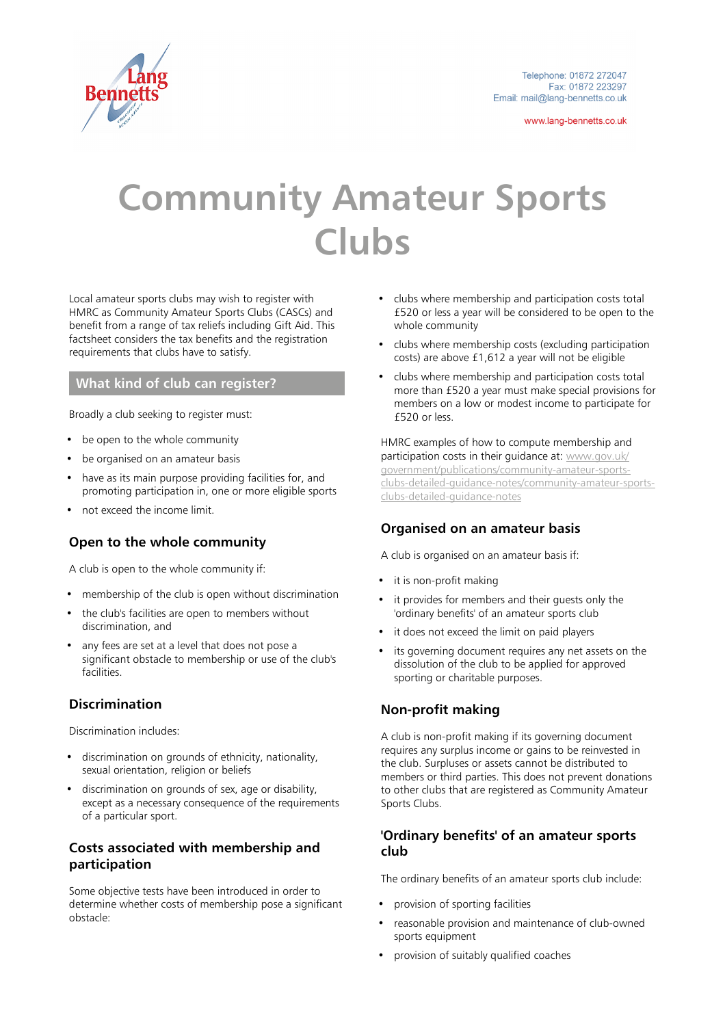

www.lang-bennetts.co.uk

# **Community Amateur Sports Clubs**

Local amateur sports clubs may wish to register with HMRC as Community Amateur Sports Clubs (CASCs) and benefit from a range of tax reliefs including Gift Aid. This factsheet considers the tax benefits and the registration requirements that clubs have to satisfy.

#### **What kind of club can register?**

Broadly a club seeking to register must:

- be open to the whole community
- be organised on an amateur basis
- have as its main purpose providing facilities for, and promoting participation in, one or more eligible sports
- not exceed the income limit.

## **Open to the whole community**

A club is open to the whole community if:

- membership of the club is open without discrimination
- the club's facilities are open to members without discrimination, and
- any fees are set at a level that does not pose a significant obstacle to membership or use of the club's facilities.

## **Discrimination**

Discrimination includes:

- discrimination on grounds of ethnicity, nationality, sexual orientation, religion or beliefs
- discrimination on grounds of sex, age or disability, except as a necessary consequence of the requirements of a particular sport.

## **Costs associated with membership and participation**

Some objective tests have been introduced in order to determine whether costs of membership pose a significant obstacle:

- clubs where membership and participation costs total £520 or less a year will be considered to be open to the whole community
- clubs where membership costs (excluding participation costs) are above £1,612 a year will not be eligible
- clubs where membership and participation costs total more than £520 a year must make special provisions for members on a low or modest income to participate for £520 or less.

HMRC examples of how to compute membership and participation costs in their guidance at: [www.gov.uk/](https://www.gov.uk/government/publications/community-amateur-sports-clubs-detailed-guidance-notes/community-amateur-sports-clubs-detailed-guidance-notes) [government/publications/community-amateur-sports](https://www.gov.uk/government/publications/community-amateur-sports-clubs-detailed-guidance-notes/community-amateur-sports-clubs-detailed-guidance-notes)[clubs-detailed-guidance-notes/community-amateur-sports](https://www.gov.uk/government/publications/community-amateur-sports-clubs-detailed-guidance-notes/community-amateur-sports-clubs-detailed-guidance-notes)[clubs-detailed-guidance-notes](https://www.gov.uk/government/publications/community-amateur-sports-clubs-detailed-guidance-notes/community-amateur-sports-clubs-detailed-guidance-notes)

## **Organised on an amateur basis**

A club is organised on an amateur basis if:

- it is non-profit making
- it provides for members and their guests only the 'ordinary benefits' of an amateur sports club
- it does not exceed the limit on paid players
- its governing document requires any net assets on the dissolution of the club to be applied for approved sporting or charitable purposes.

## **Non-profit making**

A club is non-profit making if its governing document requires any surplus income or gains to be reinvested in the club. Surpluses or assets cannot be distributed to members or third parties. This does not prevent donations to other clubs that are registered as Community Amateur Sports Clubs.

#### **'Ordinary benefits' of an amateur sports club**

The ordinary benefits of an amateur sports club include:

- provision of sporting facilities
- reasonable provision and maintenance of club-owned sports equipment
- provision of suitably qualified coaches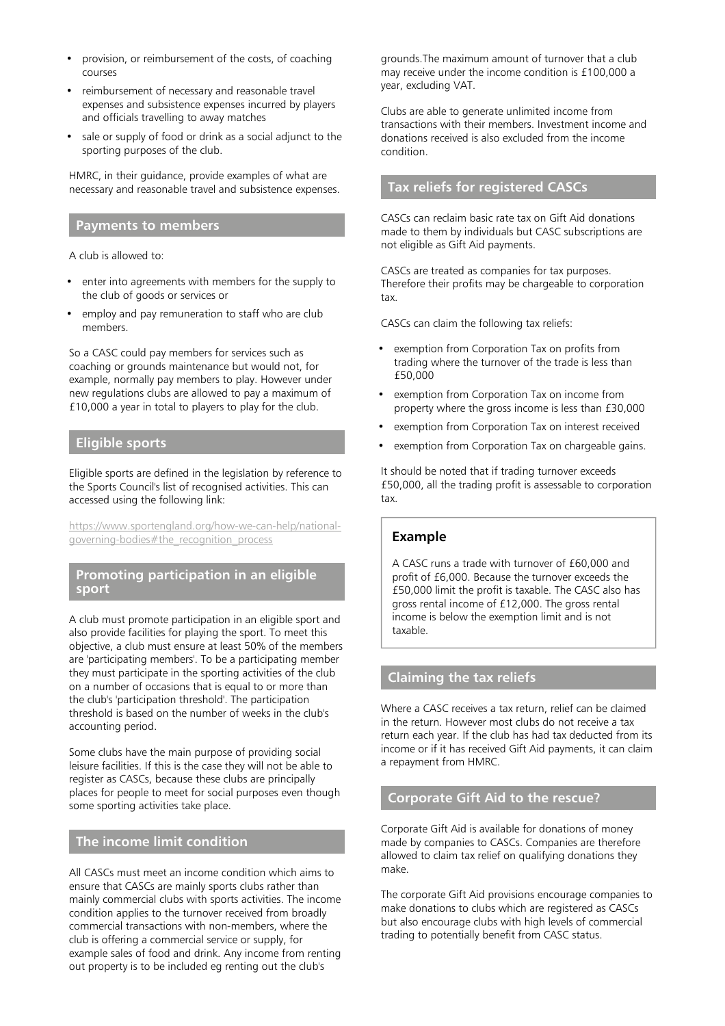- provision, or reimbursement of the costs, of coaching courses
- reimbursement of necessary and reasonable travel expenses and subsistence expenses incurred by players and officials travelling to away matches
- sale or supply of food or drink as a social adjunct to the sporting purposes of the club.

HMRC, in their guidance, provide examples of what are necessary and reasonable travel and subsistence expenses.

#### **Payments to members**

A club is allowed to:

- enter into agreements with members for the supply to the club of goods or services or
- employ and pay remuneration to staff who are club members.

So a CASC could pay members for services such as coaching or grounds maintenance but would not, for example, normally pay members to play. However under new regulations clubs are allowed to pay a maximum of £10,000 a year in total to players to play for the club.

#### **Eligible sports**

Eligible sports are defined in the legislation by reference to the Sports Council's list of recognised activities. This can accessed using the following link:

[https://www.sportengland.org/how-we-can-help/national](https://www.sportengland.org/how-we-can-help/national-governing-bodies#the_recognition_process)[governing-bodies#the\\_recognition\\_process](https://www.sportengland.org/how-we-can-help/national-governing-bodies#the_recognition_process)

#### **Promoting participation in an eligible sport**

A club must promote participation in an eligible sport and also provide facilities for playing the sport. To meet this objective, a club must ensure at least 50% of the members are 'participating members'. To be a participating member they must participate in the sporting activities of the club on a number of occasions that is equal to or more than the club's 'participation threshold'. The participation threshold is based on the number of weeks in the club's accounting period.

Some clubs have the main purpose of providing social leisure facilities. If this is the case they will not be able to register as CASCs, because these clubs are principally places for people to meet for social purposes even though some sporting activities take place.

#### **The income limit condition**

All CASCs must meet an income condition which aims to ensure that CASCs are mainly sports clubs rather than mainly commercial clubs with sports activities. The income condition applies to the turnover received from broadly commercial transactions with non-members, where the club is offering a commercial service or supply, for example sales of food and drink. Any income from renting out property is to be included eg renting out the club's

grounds.The maximum amount of turnover that a club may receive under the income condition is £100,000 a year, excluding VAT.

Clubs are able to generate unlimited income from transactions with their members. Investment income and donations received is also excluded from the income condition.

## **Tax reliefs for registered CASCs**

CASCs can reclaim basic rate tax on Gift Aid donations made to them by individuals but CASC subscriptions are not eligible as Gift Aid payments.

CASCs are treated as companies for tax purposes. Therefore their profits may be chargeable to corporation tax.

CASCs can claim the following tax reliefs:

- exemption from Corporation Tax on profits from trading where the turnover of the trade is less than £50,000
- exemption from Corporation Tax on income from property where the gross income is less than £30,000
- exemption from Corporation Tax on interest received
- exemption from Corporation Tax on chargeable gains.

It should be noted that if trading turnover exceeds £50,000, all the trading profit is assessable to corporation tax.

#### **Example**

A CASC runs a trade with turnover of £60,000 and profit of £6,000. Because the turnover exceeds the £50,000 limit the profit is taxable. The CASC also has gross rental income of £12,000. The gross rental income is below the exemption limit and is not taxable.

#### **Claiming the tax reliefs**

Where a CASC receives a tax return, relief can be claimed in the return. However most clubs do not receive a tax return each year. If the club has had tax deducted from its income or if it has received Gift Aid payments, it can claim a repayment from HMRC.

### **Corporate Gift Aid to the rescue?**

Corporate Gift Aid is available for donations of money made by companies to CASCs. Companies are therefore allowed to claim tax relief on qualifying donations they make.

The corporate Gift Aid provisions encourage companies to make donations to clubs which are registered as CASCs but also encourage clubs with high levels of commercial trading to potentially benefit from CASC status.